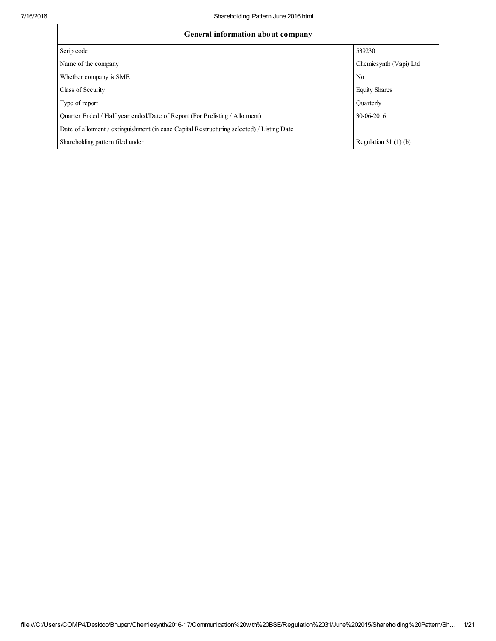| General information about company                                                          |                        |  |  |  |  |  |
|--------------------------------------------------------------------------------------------|------------------------|--|--|--|--|--|
| Scrip code                                                                                 | 539230                 |  |  |  |  |  |
| Name of the company                                                                        | Chemiesynth (Vapi) Ltd |  |  |  |  |  |
| Whether company is SME                                                                     | N <sub>0</sub>         |  |  |  |  |  |
| Class of Security                                                                          | <b>Equity Shares</b>   |  |  |  |  |  |
| Type of report                                                                             | Ouarterly              |  |  |  |  |  |
| Quarter Ended / Half year ended/Date of Report (For Prelisting / Allotment)                | 30-06-2016             |  |  |  |  |  |
| Date of allotment / extinguishment (in case Capital Restructuring selected) / Listing Date |                        |  |  |  |  |  |
| Shareholding pattern filed under                                                           | Regulation 31 $(1)(b)$ |  |  |  |  |  |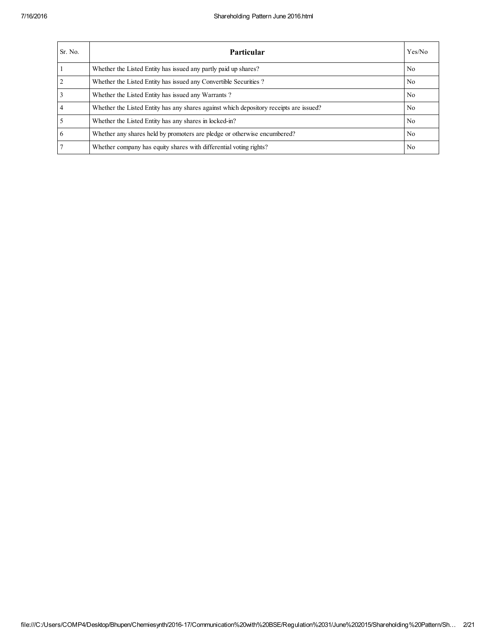| Sr. No.        | <b>Particular</b>                                                                      | Yes/No         |
|----------------|----------------------------------------------------------------------------------------|----------------|
|                | Whether the Listed Entity has issued any partly paid up shares?                        | No.            |
| $\overline{2}$ | Whether the Listed Entity has issued any Convertible Securities?                       | No.            |
| $\overline{3}$ | Whether the Listed Entity has issued any Warrants?                                     | No.            |
| $\overline{4}$ | Whether the Listed Entity has any shares against which depository receipts are issued? | No.            |
| $\overline{5}$ | Whether the Listed Entity has any shares in locked-in?                                 | No.            |
| 6              | Whether any shares held by promoters are pledge or otherwise encumbered?               | N <sub>0</sub> |
| 7              | Whether company has equity shares with differential voting rights?                     | No.            |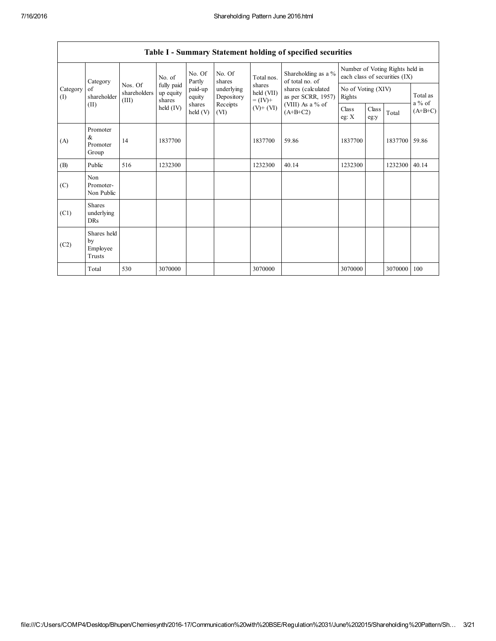|                                           |                                           |                                  |                                             |                    |                                                                  |                                                                    | Table 1 - Summary Statement holding of specified securities                                                          |                                                                  |               |               |                       |
|-------------------------------------------|-------------------------------------------|----------------------------------|---------------------------------------------|--------------------|------------------------------------------------------------------|--------------------------------------------------------------------|----------------------------------------------------------------------------------------------------------------------|------------------------------------------------------------------|---------------|---------------|-----------------------|
| Category<br>Category<br>of<br>(1)<br>(II) |                                           |                                  | No. of<br>fully paid<br>up equity<br>shares | No. Of<br>Partly   | No. Of<br>shares<br>underlying<br>Depository<br>Receipts<br>(VI) | Total nos.<br>shares<br>held (VII)<br>$= (IV) +$<br>$(V)$ + $(VI)$ | Shareholding as a %<br>of total no. of<br>shares (calculated<br>as per SCRR, 1957)<br>(VIII) As a % of<br>$(A+B+C2)$ | Number of Voting Rights held in<br>each class of securities (IX) |               |               |                       |
|                                           | shareholder                               | Nos. Of<br>shareholders<br>(III) |                                             | paid-up<br>equity  |                                                                  |                                                                    |                                                                                                                      | No of Voting (XIV)<br>Rights                                     |               |               | Total as              |
|                                           |                                           |                                  | held $(IV)$                                 | shares<br>held (V) |                                                                  |                                                                    |                                                                                                                      | Class<br>eg: $X$                                                 | Class<br>eg:y | Total         | $a\%$ of<br>$(A+B+C)$ |
| (A)                                       | Promoter<br>&<br>Promoter<br>Group        | 14                               | 1837700                                     |                    |                                                                  | 1837700                                                            | 59.86                                                                                                                | 1837700                                                          |               | 1837700 59.86 |                       |
| (B)                                       | Public                                    | 516                              | 1232300                                     |                    |                                                                  | 1232300                                                            | 40.14                                                                                                                | 1232300                                                          |               | 1232300       | 40.14                 |
| (C)                                       | Non<br>Promoter-<br>Non Public            |                                  |                                             |                    |                                                                  |                                                                    |                                                                                                                      |                                                                  |               |               |                       |
| (C1)                                      | <b>Shares</b><br>underlying<br><b>DRs</b> |                                  |                                             |                    |                                                                  |                                                                    |                                                                                                                      |                                                                  |               |               |                       |
| (C2)                                      | Shares held<br>by<br>Employee<br>Trusts   |                                  |                                             |                    |                                                                  |                                                                    |                                                                                                                      |                                                                  |               |               |                       |
|                                           | Total                                     | 530                              | 3070000                                     |                    |                                                                  | 3070000                                                            |                                                                                                                      | 3070000                                                          |               | 3070000       | 100                   |

# Table I - Summary Statement holding of specified securities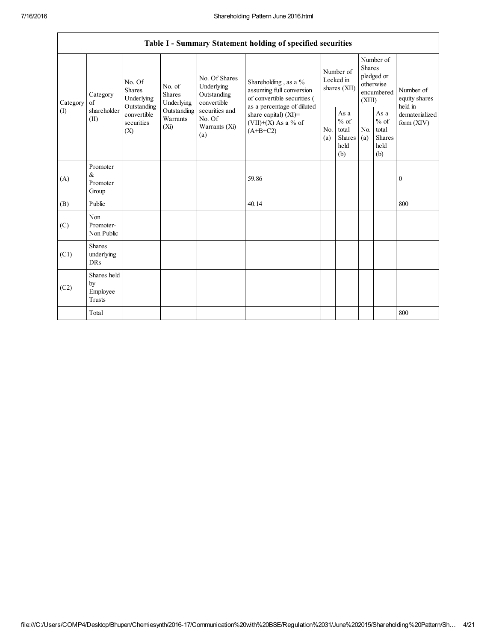|                 | Table I - Summary Statement holding of specified securities |                                                                                          |                                                                             |                                                                                                               |                                                                                                                                                                                 |                                        |                                                         |                                                                               |                                                  |                                       |
|-----------------|-------------------------------------------------------------|------------------------------------------------------------------------------------------|-----------------------------------------------------------------------------|---------------------------------------------------------------------------------------------------------------|---------------------------------------------------------------------------------------------------------------------------------------------------------------------------------|----------------------------------------|---------------------------------------------------------|-------------------------------------------------------------------------------|--------------------------------------------------|---------------------------------------|
| Category<br>(I) | Category<br>of<br>shareholder<br>(II)                       | No. Of<br><b>Shares</b><br>Underlying<br>Outstanding<br>convertible<br>securities<br>(X) | No. of<br><b>Shares</b><br>Underlying<br>Outstanding<br>Warrants<br>$(X_i)$ | No. Of Shares<br>Underlying<br>Outstanding<br>convertible<br>securities and<br>No. Of<br>Warrants (Xi)<br>(a) | Shareholding, as a %<br>assuming full conversion<br>of convertible securities (<br>as a percentage of diluted<br>share capital) $(XI)$ =<br>$(VII)+(X)$ As a % of<br>$(A+B+C2)$ | Number of<br>Locked in<br>shares (XII) |                                                         | Number of<br><b>Shares</b><br>pledged or<br>otherwise<br>encumbered<br>(XIII) |                                                  | Number of<br>equity shares<br>held in |
|                 |                                                             |                                                                                          |                                                                             |                                                                                                               |                                                                                                                                                                                 | No.<br>(a)                             | As a<br>$%$ of<br>total<br><b>Shares</b><br>held<br>(b) | No.<br>(a)                                                                    | As a<br>$%$ of<br>total<br>Shares<br>held<br>(b) | dematerialized<br>form $(XIV)$        |
| (A)             | Promoter<br>$\&$<br>Promoter<br>Group                       |                                                                                          |                                                                             |                                                                                                               | 59.86                                                                                                                                                                           |                                        |                                                         |                                                                               |                                                  | $\boldsymbol{0}$                      |
| (B)             | Public                                                      |                                                                                          |                                                                             |                                                                                                               | 40.14                                                                                                                                                                           |                                        |                                                         |                                                                               |                                                  | 800                                   |
| (C)             | Non<br>Promoter-<br>Non Public                              |                                                                                          |                                                                             |                                                                                                               |                                                                                                                                                                                 |                                        |                                                         |                                                                               |                                                  |                                       |
| (C1)            | <b>Shares</b><br>underlying<br>DRs                          |                                                                                          |                                                                             |                                                                                                               |                                                                                                                                                                                 |                                        |                                                         |                                                                               |                                                  |                                       |
| (C2)            | Shares held<br>by<br>Employee<br>Trusts                     |                                                                                          |                                                                             |                                                                                                               |                                                                                                                                                                                 |                                        |                                                         |                                                                               |                                                  |                                       |
|                 | Total                                                       |                                                                                          |                                                                             |                                                                                                               |                                                                                                                                                                                 |                                        |                                                         |                                                                               |                                                  | 800                                   |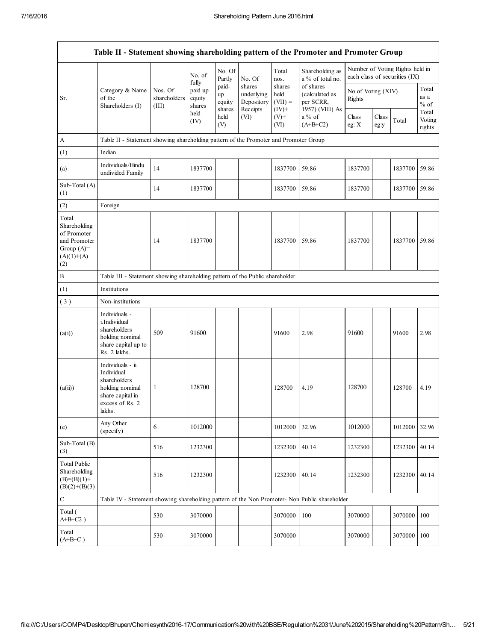|                                                                                             | Table II - Statement showing shareholding pattern of the Promoter and Promoter Group                                |                                                                              |                             |                                 |                                    |                             |                                                                                     |                              |               |                                                                  |                           |
|---------------------------------------------------------------------------------------------|---------------------------------------------------------------------------------------------------------------------|------------------------------------------------------------------------------|-----------------------------|---------------------------------|------------------------------------|-----------------------------|-------------------------------------------------------------------------------------|------------------------------|---------------|------------------------------------------------------------------|---------------------------|
|                                                                                             |                                                                                                                     |                                                                              | No. of<br>fully             | No. Of<br>Partly                | No. Of                             | Total<br>nos.               | Shareholding as<br>a % of total no.                                                 |                              |               | Number of Voting Rights held in<br>each class of securities (IX) |                           |
| Sr.                                                                                         | Category & Name<br>of the<br>Shareholders (I)                                                                       | Nos. Of<br>shareholders<br>(III)                                             | paid up<br>equity<br>shares | paid-<br>up<br>equity<br>shares | shares<br>underlying<br>Depository | shares<br>held<br>$(VII) =$ | of shares<br>(calculated as<br>per SCRR,<br>1957) (VIII) As<br>a % of<br>$(A+B+C2)$ | No of Voting (XIV)<br>Rights |               |                                                                  | Total<br>as a<br>$%$ of   |
|                                                                                             |                                                                                                                     |                                                                              | held<br>(IV)                | held<br>(V)                     | Receipts<br>(VI)                   | $(IV)^+$<br>$(V)+$<br>(VI)  |                                                                                     | Class<br>eg: $X$             | Class<br>eg:y | Total                                                            | Total<br>Voting<br>rights |
| $\boldsymbol{A}$                                                                            | Table II - Statement showing shareholding pattern of the Promoter and Promoter Group                                |                                                                              |                             |                                 |                                    |                             |                                                                                     |                              |               |                                                                  |                           |
| (1)                                                                                         | Indian                                                                                                              |                                                                              |                             |                                 |                                    |                             |                                                                                     |                              |               |                                                                  |                           |
| (a)                                                                                         | Individuals/Hindu<br>undivided Family                                                                               | 14                                                                           | 1837700                     |                                 |                                    | 1837700                     | 59.86                                                                               | 1837700                      |               | 1837700                                                          | 59.86                     |
| Sub-Total (A)<br>(1)                                                                        |                                                                                                                     | 14                                                                           | 1837700                     |                                 |                                    | 1837700                     | 59.86                                                                               | 1837700                      |               | 1837700 59.86                                                    |                           |
| (2)                                                                                         | Foreign                                                                                                             |                                                                              |                             |                                 |                                    |                             |                                                                                     |                              |               |                                                                  |                           |
| Total<br>Shareholding<br>of Promoter<br>and Promoter<br>Group $(A)=$<br>$(A)(1)+(A)$<br>(2) |                                                                                                                     | 14                                                                           | 1837700                     |                                 |                                    | 1837700                     | 59.86                                                                               | 1837700                      |               | 1837700 59.86                                                    |                           |
| $\, {\bf B}$                                                                                |                                                                                                                     | Table III - Statement showing shareholding pattern of the Public shareholder |                             |                                 |                                    |                             |                                                                                     |                              |               |                                                                  |                           |
| (1)                                                                                         | Institutions                                                                                                        |                                                                              |                             |                                 |                                    |                             |                                                                                     |                              |               |                                                                  |                           |
| (3)                                                                                         | Non-institutions                                                                                                    |                                                                              |                             |                                 |                                    |                             |                                                                                     |                              |               |                                                                  |                           |
| (a(i))                                                                                      | Individuals -<br>i.Individual<br>shareholders<br>holding nominal<br>share capital up to<br>Rs. 2 lakhs.             | 509                                                                          | 91600                       |                                 |                                    | 91600                       | 2.98                                                                                | 91600                        |               | 91600                                                            | 2.98                      |
| (a(ii))                                                                                     | Individuals - ii.<br>Individual<br>shareholders<br>holding nominal<br>share capital in<br>excess of Rs. 2<br>lakhs. | 1                                                                            | 128700                      |                                 |                                    | 128700                      | 4.19                                                                                | 128700                       |               | 128700                                                           | 4.19                      |
| (e)                                                                                         | Any Other<br>(specify)                                                                                              | 6                                                                            | 1012000                     |                                 |                                    | 1012000                     | 32.96                                                                               | 1012000                      |               | 1012000                                                          | 32.96                     |
| Sub-Total (B)<br>(3)                                                                        |                                                                                                                     | 516                                                                          | 1232300                     |                                 |                                    | 1232300                     | 40.14                                                                               | 1232300                      |               | 1232300                                                          | 40.14                     |
| <b>Total Public</b><br>Shareholding<br>$(B)=(B)(1)+$<br>$(B)(2)+(B)(3)$                     |                                                                                                                     | 516                                                                          | 1232300                     |                                 |                                    | 1232300                     | 40.14                                                                               | 1232300                      |               | 1232300                                                          | 40.14                     |
| $\mathbf C$                                                                                 | Table IV - Statement showing shareholding pattern of the Non Promoter- Non Public shareholder                       |                                                                              |                             |                                 |                                    |                             |                                                                                     |                              |               |                                                                  |                           |
| Total (<br>$A+B+C2$ )                                                                       |                                                                                                                     | 530                                                                          | 3070000                     |                                 |                                    | 3070000                     | 100                                                                                 | 3070000                      |               | 3070000                                                          | 100                       |
| Total<br>$(A+B+C)$                                                                          |                                                                                                                     | 530                                                                          | 3070000                     |                                 |                                    | 3070000                     |                                                                                     | 3070000                      |               | 3070000                                                          | 100                       |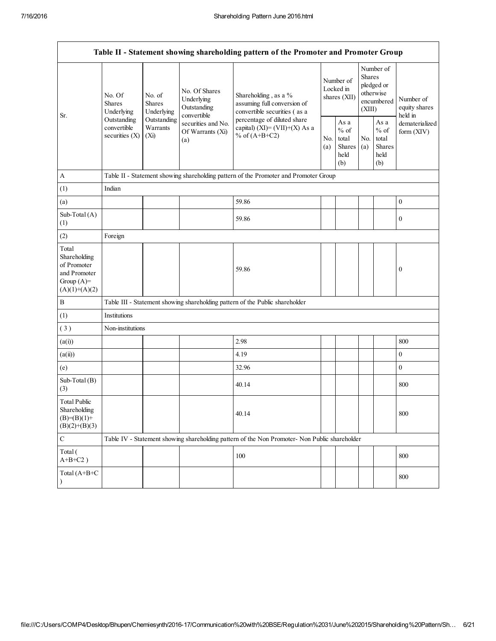| Table II - Statement showing shareholding pattern of the Promoter and Promoter Group    |                                                                                                    |                                       |                                                              |                                                                                               |                                        |                                                  |                                                                               |                                                  |                                       |
|-----------------------------------------------------------------------------------------|----------------------------------------------------------------------------------------------------|---------------------------------------|--------------------------------------------------------------|-----------------------------------------------------------------------------------------------|----------------------------------------|--------------------------------------------------|-------------------------------------------------------------------------------|--------------------------------------------------|---------------------------------------|
|                                                                                         | No. Of<br><b>Shares</b><br>Underlying<br>Outstanding<br>convertible<br>securities $(X)$<br>$(X_i)$ | No. of<br><b>Shares</b><br>Underlying | No. Of Shares<br>Underlying<br>Outstanding                   | Shareholding, as a %<br>assuming full conversion of<br>convertible securities (as a           | Number of<br>Locked in<br>shares (XII) |                                                  | Number of<br><b>Shares</b><br>pledged or<br>otherwise<br>encumbered<br>(XIII) |                                                  | Number of<br>equity shares<br>held in |
| Sr.                                                                                     |                                                                                                    | Outstanding<br>Warrants               | convertible<br>securities and No.<br>Of Warrants (Xi)<br>(a) | percentage of diluted share<br>capital) (XI)= $(VII)+(X)$ As a<br>% of $(A+B+C2)$             | No.<br>(a)                             | As a<br>$%$ of<br>total<br>Shares<br>held<br>(b) | No.<br>(a)                                                                    | As a<br>$%$ of<br>total<br>Shares<br>held<br>(b) | dematerialized<br>form (XIV)          |
| $\mathbf{A}$                                                                            |                                                                                                    |                                       |                                                              | Table II - Statement showing shareholding pattern of the Promoter and Promoter Group          |                                        |                                                  |                                                                               |                                                  |                                       |
| (1)                                                                                     | Indian                                                                                             |                                       |                                                              |                                                                                               |                                        |                                                  |                                                                               |                                                  |                                       |
| (a)                                                                                     |                                                                                                    |                                       |                                                              | 59.86                                                                                         |                                        |                                                  |                                                                               |                                                  | $\boldsymbol{0}$                      |
| Sub-Total (A)<br>(1)                                                                    |                                                                                                    |                                       |                                                              | 59.86                                                                                         |                                        |                                                  |                                                                               |                                                  | $\bf{0}$                              |
| (2)                                                                                     | Foreign                                                                                            |                                       |                                                              |                                                                                               |                                        |                                                  |                                                                               |                                                  |                                       |
| Total<br>Shareholding<br>of Promoter<br>and Promoter<br>Group $(A)=$<br>$(A)(1)+(A)(2)$ |                                                                                                    |                                       |                                                              | 59.86                                                                                         |                                        |                                                  |                                                                               |                                                  | $\boldsymbol{0}$                      |
| $\, {\bf B}$                                                                            |                                                                                                    |                                       |                                                              | Table III - Statement showing shareholding pattern of the Public shareholder                  |                                        |                                                  |                                                                               |                                                  |                                       |
| (1)                                                                                     | Institutions                                                                                       |                                       |                                                              |                                                                                               |                                        |                                                  |                                                                               |                                                  |                                       |
| (3)                                                                                     | Non-institutions                                                                                   |                                       |                                                              |                                                                                               |                                        |                                                  |                                                                               |                                                  |                                       |
| (a(i))                                                                                  |                                                                                                    |                                       |                                                              | 2.98                                                                                          |                                        |                                                  |                                                                               |                                                  | 800                                   |
| (a(ii))                                                                                 |                                                                                                    |                                       |                                                              | 4.19                                                                                          |                                        |                                                  |                                                                               |                                                  | $\boldsymbol{0}$                      |
| (e)                                                                                     |                                                                                                    |                                       |                                                              | 32.96                                                                                         |                                        |                                                  |                                                                               |                                                  | $\boldsymbol{0}$                      |
| Sub-Total (B)<br>(3)                                                                    |                                                                                                    |                                       |                                                              | 40.14                                                                                         |                                        |                                                  |                                                                               |                                                  | 800                                   |
| <b>Total Public</b><br>Shareholding<br>$(B)= (B)(1) +$<br>$(B)(2)+(B)(3)$               |                                                                                                    |                                       |                                                              | 40.14                                                                                         |                                        |                                                  |                                                                               |                                                  | 800                                   |
| $\mathbf C$                                                                             |                                                                                                    |                                       |                                                              | Table IV - Statement showing shareholding pattern of the Non Promoter- Non Public shareholder |                                        |                                                  |                                                                               |                                                  |                                       |
| Total (<br>$A+B+C2$ )                                                                   |                                                                                                    |                                       |                                                              | 100                                                                                           |                                        |                                                  |                                                                               |                                                  | 800                                   |
| Total (A+B+C<br>$\lambda$                                                               |                                                                                                    |                                       |                                                              |                                                                                               |                                        |                                                  |                                                                               |                                                  | 800                                   |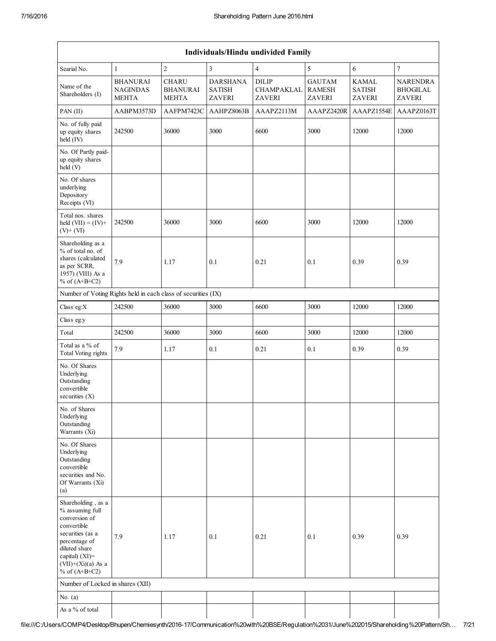|                                                                                                                                                                                             | Individuals/Hindu undivided Family                            |                                                 |                                                   |                                             |                                          |                                                |                                                     |  |
|---------------------------------------------------------------------------------------------------------------------------------------------------------------------------------------------|---------------------------------------------------------------|-------------------------------------------------|---------------------------------------------------|---------------------------------------------|------------------------------------------|------------------------------------------------|-----------------------------------------------------|--|
| Searial No.                                                                                                                                                                                 | $\mathbf{1}$                                                  | $\sqrt{2}$                                      | 3                                                 | $\overline{4}$                              | 5                                        | 6                                              | $\boldsymbol{7}$                                    |  |
| Name of the<br>Shareholders (I)                                                                                                                                                             | <b>BHANURAI</b><br><b>NAGINDAS</b><br><b>MEHTA</b>            | <b>CHARU</b><br><b>BHANURAI</b><br><b>MEHTA</b> | <b>DARSHANA</b><br><b>SATISH</b><br><b>ZAVERI</b> | <b>DILIP</b><br>CHAMPAKLAL<br><b>ZAVERI</b> | <b>GAUTAM</b><br><b>RAMESH</b><br>ZAVERI | <b>KAMAL</b><br><b>SATISH</b><br><b>ZAVERI</b> | <b>NARENDRA</b><br><b>BHOGILAL</b><br><b>ZAVERI</b> |  |
| PAN (II)                                                                                                                                                                                    | AABPM3573D                                                    | AAFPM7423C                                      | AAHPZ8063B                                        | AAAPZ2113M                                  | AAAPZ2420R                               | AAAPZ1554E                                     | AAAPZ0163T                                          |  |
| No. of fully paid<br>up equity shares<br>held (IV)                                                                                                                                          | 242500                                                        | 36000                                           | 3000                                              | 6600                                        | 3000                                     | 12000                                          | 12000                                               |  |
| No. Of Partly paid-<br>up equity shares<br>held (V)                                                                                                                                         |                                                               |                                                 |                                                   |                                             |                                          |                                                |                                                     |  |
| No. Of shares<br>underlying<br>Depository<br>Receipts (VI)                                                                                                                                  |                                                               |                                                 |                                                   |                                             |                                          |                                                |                                                     |  |
| Total nos. shares<br>held $(VII) = (IV) +$<br>$(V)+(VI)$                                                                                                                                    | 242500                                                        | 36000                                           | 3000                                              | 6600                                        | 3000                                     | 12000                                          | 12000                                               |  |
| Shareholding as a<br>% of total no. of<br>shares (calculated<br>as per SCRR,<br>1957) (VIII) As a<br>% of $(A+B+C2)$                                                                        | 7.9                                                           | 1.17                                            | 0.1                                               | 0.21                                        | 0.1                                      | 0.39                                           | 0.39                                                |  |
|                                                                                                                                                                                             | Number of Voting Rights held in each class of securities (IX) |                                                 |                                                   |                                             |                                          |                                                |                                                     |  |
| Class eg:X                                                                                                                                                                                  | 242500                                                        | 36000                                           | 3000                                              | 6600                                        | 3000                                     | 12000                                          | 12000                                               |  |
| Class eg:y                                                                                                                                                                                  |                                                               |                                                 |                                                   |                                             |                                          |                                                |                                                     |  |
| Total                                                                                                                                                                                       | 242500                                                        | 36000                                           | 3000                                              | 6600                                        | 3000                                     | 12000                                          | 12000                                               |  |
| Total as a % of<br><b>Total Voting rights</b>                                                                                                                                               | 7.9                                                           | 1.17                                            | 0.1                                               | 0.21                                        | 0.1                                      | 0.39                                           | 0.39                                                |  |
| No. Of Shares<br>Underlying<br>Outstanding<br>convertible<br>securities $(X)$                                                                                                               |                                                               |                                                 |                                                   |                                             |                                          |                                                |                                                     |  |
| No. of Shares<br>Underlying<br>Outstanding<br>Warrants (Xi)                                                                                                                                 |                                                               |                                                 |                                                   |                                             |                                          |                                                |                                                     |  |
| No. Of Shares<br>Underlying<br>Outstanding<br>convertible<br>securities and No.<br>Of Warrants (Xi)<br>(a)                                                                                  |                                                               |                                                 |                                                   |                                             |                                          |                                                |                                                     |  |
| Shareholding, as a<br>% assuming full<br>conversion of<br>convertible<br>securities (as a<br>percentage of<br>diluted share<br>capital) $(XI)$ =<br>$(VII)+(Xi)(a)$ As a<br>% of $(A+B+C2)$ | 7.9                                                           | 1.17                                            | 0.1                                               | 0.21                                        | 0.1                                      | 0.39                                           | 0.39                                                |  |
| Number of Locked in shares (XII)                                                                                                                                                            |                                                               |                                                 |                                                   |                                             |                                          |                                                |                                                     |  |
| No. $(a)$                                                                                                                                                                                   |                                                               |                                                 |                                                   |                                             |                                          |                                                |                                                     |  |
| As a % of total                                                                                                                                                                             |                                                               |                                                 |                                                   |                                             |                                          |                                                |                                                     |  |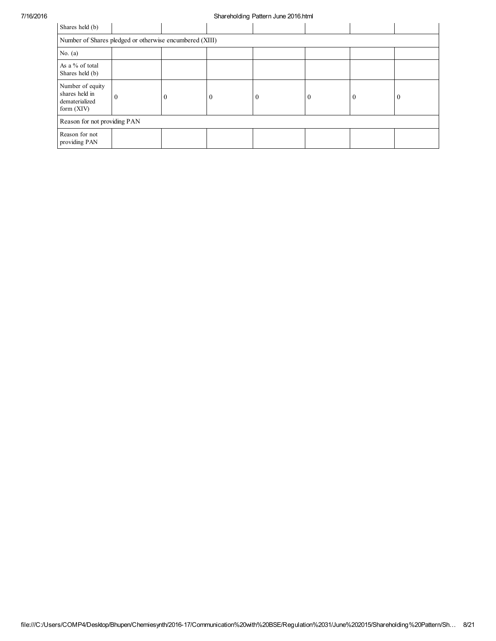| Shares held (b)                                                      |                                                         |          |          |  |          |          |                |
|----------------------------------------------------------------------|---------------------------------------------------------|----------|----------|--|----------|----------|----------------|
|                                                                      | Number of Shares pledged or otherwise encumbered (XIII) |          |          |  |          |          |                |
| No. $(a)$                                                            |                                                         |          |          |  |          |          |                |
| As a % of total<br>Shares held (b)                                   |                                                         |          |          |  |          |          |                |
| Number of equity<br>shares held in<br>dematerialized<br>form $(XIV)$ |                                                         | $\Omega$ | $\Omega$ |  | $\Omega$ | $\theta$ | $\overline{0}$ |
| Reason for not providing PAN                                         |                                                         |          |          |  |          |          |                |
| Reason for not<br>providing PAN                                      |                                                         |          |          |  |          |          |                |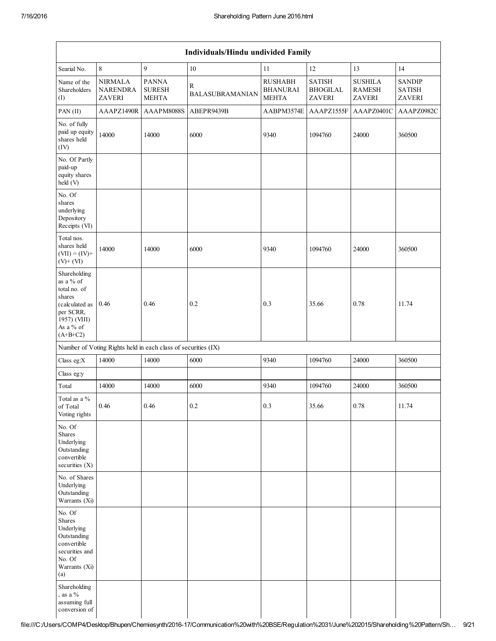|                                                                                                                                  | Individuals/Hindu undivided Family                 |                                                               |                                        |                                                   |                                                   |                                           |                                          |  |  |
|----------------------------------------------------------------------------------------------------------------------------------|----------------------------------------------------|---------------------------------------------------------------|----------------------------------------|---------------------------------------------------|---------------------------------------------------|-------------------------------------------|------------------------------------------|--|--|
| Searial No.                                                                                                                      | $\,8\,$                                            | 9                                                             | 10                                     | 11                                                | 12                                                | 13                                        | 14                                       |  |  |
| Name of the<br>Shareholders<br>(I)                                                                                               | <b>NIRMALA</b><br><b>NARENDRA</b><br><b>ZAVERI</b> | <b>PANNA</b><br><b>SURESH</b><br><b>MEHTA</b>                 | $\mathbb{R}$<br><b>BALASUBRAMANIAN</b> | <b>RUSHABH</b><br><b>BHANURAI</b><br><b>MEHTA</b> | <b>SATISH</b><br><b>BHOGILAL</b><br><b>ZAVERI</b> | <b>SUSHILA</b><br><b>RAMESH</b><br>ZAVERI | <b>SANDIP</b><br><b>SATISH</b><br>ZAVERI |  |  |
| PAN (II)                                                                                                                         | AAAPZ1490R                                         | AAAPM8088S                                                    | ABEPR9439B                             | AABPM3574E                                        | AAAPZ1555F                                        | AAAPZ0401C                                | AAAPZ0982C                               |  |  |
| No. of fully<br>paid up equity<br>shares held<br>(IV)                                                                            | 14000                                              | 14000                                                         | 6000                                   | 9340                                              | 1094760                                           | 24000                                     | 360500                                   |  |  |
| No. Of Partly<br>paid-up<br>equity shares<br>held (V)                                                                            |                                                    |                                                               |                                        |                                                   |                                                   |                                           |                                          |  |  |
| No. Of<br>shares<br>underlying<br>Depository<br>Receipts (VI)                                                                    |                                                    |                                                               |                                        |                                                   |                                                   |                                           |                                          |  |  |
| Total nos.<br>shares held<br>$(VII) = (IV) +$<br>$(V)$ + $(VI)$                                                                  | 14000                                              | 14000                                                         | 6000                                   | 9340                                              | 1094760                                           | 24000                                     | 360500                                   |  |  |
| Shareholding<br>as a % of<br>total no. of<br>shares<br>(calculated as<br>per SCRR,<br>1957) (VIII)<br>As a % of<br>$(A+B+C2)$    | 0.46                                               | 0.46                                                          | 0.2                                    | 0.3                                               | 35.66                                             | 0.78                                      | 11.74                                    |  |  |
|                                                                                                                                  |                                                    | Number of Voting Rights held in each class of securities (IX) |                                        |                                                   |                                                   |                                           |                                          |  |  |
| Class eg:X                                                                                                                       | 14000                                              | 14000                                                         | 6000                                   | 9340                                              | 1094760                                           | 24000                                     | 360500                                   |  |  |
| Class eg:y                                                                                                                       |                                                    |                                                               |                                        |                                                   |                                                   |                                           |                                          |  |  |
| Total                                                                                                                            | 14000                                              | 14000                                                         | 6000                                   | 9340                                              | 1094760                                           | 24000                                     | 360500                                   |  |  |
| Total as a %<br>of Total<br>Voting rights                                                                                        | 0.46                                               | 0.46                                                          | 0.2                                    | 0.3                                               | 35.66                                             | 0.78                                      | 11.74                                    |  |  |
| No. Of<br><b>Shares</b><br>Underlying<br>Outstanding<br>convertible<br>securities (X)                                            |                                                    |                                                               |                                        |                                                   |                                                   |                                           |                                          |  |  |
| No. of Shares<br>Underlying<br>Outstanding<br>Warrants (Xi)                                                                      |                                                    |                                                               |                                        |                                                   |                                                   |                                           |                                          |  |  |
| No. Of<br>Shares<br>Underlying<br>Outstanding<br>convertible<br>securities and<br>No. Of<br>Warrants (Xi)<br>(a)<br>Shareholding |                                                    |                                                               |                                        |                                                   |                                                   |                                           |                                          |  |  |
| , as a $%$<br>assuming full<br>conversion of                                                                                     |                                                    |                                                               |                                        |                                                   |                                                   |                                           |                                          |  |  |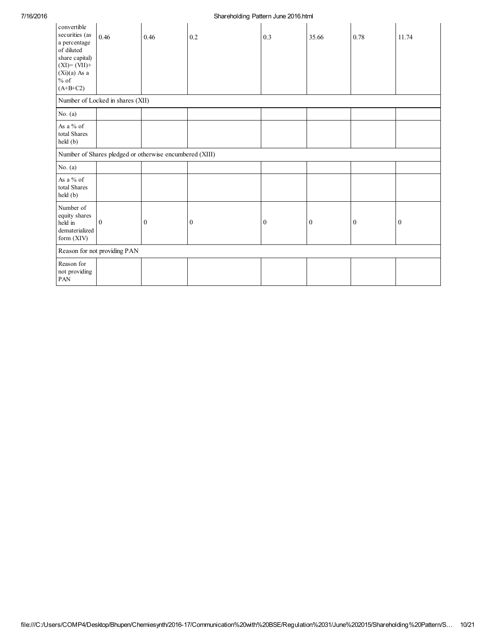| convertible<br>securities (as<br>a percentage<br>of diluted<br>share capital)<br>$(XI)=(VII)+$<br>$(Xi)(a)$ As a<br>$%$ of<br>$(A+B+C2)$ | 0.46                             | 0.46                                                    | 0.2          | 0.3          | 35.66        | 0.78         | 11.74        |
|------------------------------------------------------------------------------------------------------------------------------------------|----------------------------------|---------------------------------------------------------|--------------|--------------|--------------|--------------|--------------|
|                                                                                                                                          | Number of Locked in shares (XII) |                                                         |              |              |              |              |              |
| No. $(a)$                                                                                                                                |                                  |                                                         |              |              |              |              |              |
| As a % of<br>total Shares<br>held (b)                                                                                                    |                                  |                                                         |              |              |              |              |              |
|                                                                                                                                          |                                  | Number of Shares pledged or otherwise encumbered (XIII) |              |              |              |              |              |
| No. $(a)$                                                                                                                                |                                  |                                                         |              |              |              |              |              |
| As a % of<br>total Shares<br>held (b)                                                                                                    |                                  |                                                         |              |              |              |              |              |
| Number of<br>equity shares<br>held in<br>dematerialized<br>form (XIV)                                                                    | $\overline{0}$                   | $\mathbf{0}$                                            | $\mathbf{0}$ | $\mathbf{0}$ | $\mathbf{0}$ | $\mathbf{0}$ | $\mathbf{0}$ |
|                                                                                                                                          | Reason for not providing PAN     |                                                         |              |              |              |              |              |
| Reason for<br>not providing<br>PAN                                                                                                       |                                  |                                                         |              |              |              |              |              |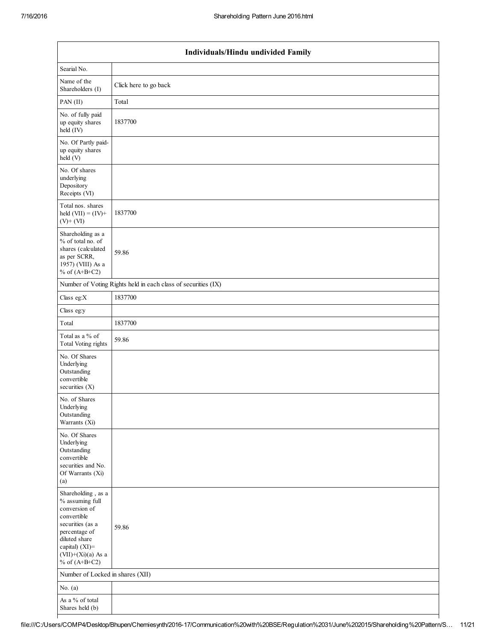| Individuals/Hindu undivided Family                                                                                                                                                          |                                                               |  |  |  |  |  |  |
|---------------------------------------------------------------------------------------------------------------------------------------------------------------------------------------------|---------------------------------------------------------------|--|--|--|--|--|--|
| Searial No.                                                                                                                                                                                 |                                                               |  |  |  |  |  |  |
| Name of the<br>Shareholders (I)                                                                                                                                                             | Click here to go back                                         |  |  |  |  |  |  |
| PAN (II)                                                                                                                                                                                    | Total                                                         |  |  |  |  |  |  |
| No. of fully paid<br>up equity shares<br>held (IV)                                                                                                                                          | 1837700                                                       |  |  |  |  |  |  |
| No. Of Partly paid-<br>up equity shares<br>held $(V)$                                                                                                                                       |                                                               |  |  |  |  |  |  |
| No. Of shares<br>underlying<br>Depository<br>Receipts (VI)                                                                                                                                  |                                                               |  |  |  |  |  |  |
| Total nos. shares<br>held $(VII) = (IV) +$<br>$(V)$ + $(VI)$                                                                                                                                | 1837700                                                       |  |  |  |  |  |  |
| Shareholding as a<br>% of total no. of<br>shares (calculated<br>as per SCRR,<br>1957) (VIII) As a<br>% of $(A+B+C2)$                                                                        | 59.86                                                         |  |  |  |  |  |  |
|                                                                                                                                                                                             | Number of Voting Rights held in each class of securities (IX) |  |  |  |  |  |  |
| Class eg: $X$                                                                                                                                                                               | 1837700                                                       |  |  |  |  |  |  |
| Class eg:y                                                                                                                                                                                  |                                                               |  |  |  |  |  |  |
| Total                                                                                                                                                                                       | 1837700                                                       |  |  |  |  |  |  |
| Total as a % of<br><b>Total Voting rights</b>                                                                                                                                               | 59.86                                                         |  |  |  |  |  |  |
| No. Of Shares<br>Underlying<br>Outstanding<br>convertible<br>securities $(X)$                                                                                                               |                                                               |  |  |  |  |  |  |
| No. of Shares<br>Underlying<br>Outstanding<br>Warrants (Xi)                                                                                                                                 |                                                               |  |  |  |  |  |  |
| No. Of Shares<br>Underlying<br>Outstanding<br>convertible<br>securities and No.<br>Of Warrants (Xi)<br>(a)                                                                                  |                                                               |  |  |  |  |  |  |
| Shareholding, as a<br>$\%$ assuming full<br>conversion of<br>convertible<br>securities (as a<br>percentage of<br>diluted share<br>capital) (XI)=<br>$(VII)+(Xi)(a)$ As a<br>% of $(A+B+C2)$ | 59.86                                                         |  |  |  |  |  |  |
| Number of Locked in shares (XII)                                                                                                                                                            |                                                               |  |  |  |  |  |  |
| No. $(a)$                                                                                                                                                                                   |                                                               |  |  |  |  |  |  |
| As a % of total<br>Shares held (b)                                                                                                                                                          |                                                               |  |  |  |  |  |  |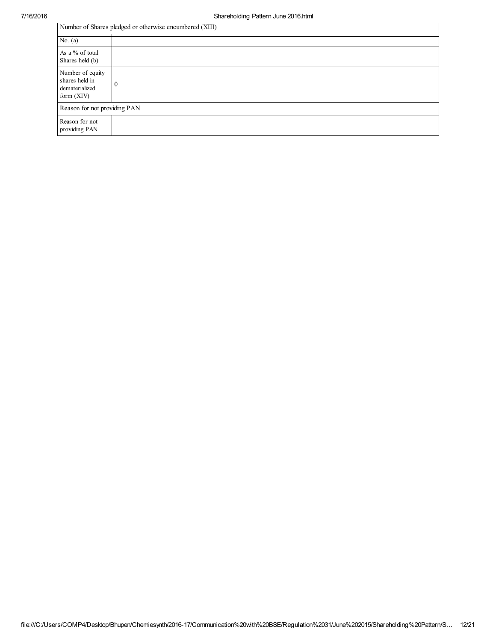| Number of Shares pledged or otherwise encumbered (XIII)              |          |  |  |  |  |  |
|----------------------------------------------------------------------|----------|--|--|--|--|--|
| No. $(a)$                                                            |          |  |  |  |  |  |
| As a % of total<br>Shares held (b)                                   |          |  |  |  |  |  |
| Number of equity<br>shares held in<br>dematerialized<br>form $(XIV)$ | $\theta$ |  |  |  |  |  |
| Reason for not providing PAN                                         |          |  |  |  |  |  |
| Reason for not<br>providing PAN                                      |          |  |  |  |  |  |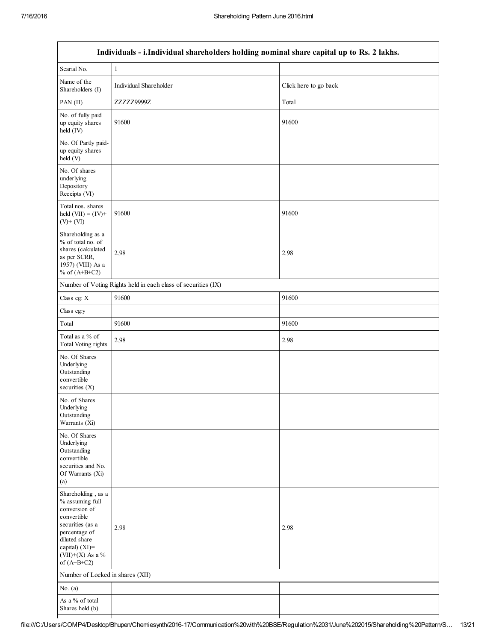| Individuals - i.Individual shareholders holding nominal share capital up to Rs. 2 lakhs.                                                                                           |                                                               |                       |  |
|------------------------------------------------------------------------------------------------------------------------------------------------------------------------------------|---------------------------------------------------------------|-----------------------|--|
| Searial No.                                                                                                                                                                        | 1                                                             |                       |  |
| Name of the<br>Shareholders (I)                                                                                                                                                    | Individual Shareholder                                        | Click here to go back |  |
| PAN (II)                                                                                                                                                                           | ZZZZZ9999Z                                                    | Total                 |  |
| No. of fully paid<br>up equity shares<br>held (IV)                                                                                                                                 | 91600                                                         | 91600                 |  |
| No. Of Partly paid-<br>up equity shares<br>held(V)                                                                                                                                 |                                                               |                       |  |
| No. Of shares<br>underlying<br>Depository<br>Receipts (VI)                                                                                                                         |                                                               |                       |  |
| Total nos. shares<br>held $(VII) = (IV) +$<br>$(V)$ + $(VI)$                                                                                                                       | 91600                                                         | 91600                 |  |
| Shareholding as a<br>% of total no. of<br>shares (calculated<br>as per SCRR,<br>1957) (VIII) As a<br>% of $(A+B+C2)$                                                               | 2.98                                                          | 2.98                  |  |
|                                                                                                                                                                                    | Number of Voting Rights held in each class of securities (IX) |                       |  |
| Class eg: X                                                                                                                                                                        | 91600                                                         | 91600                 |  |
| Class eg:y                                                                                                                                                                         |                                                               |                       |  |
| Total                                                                                                                                                                              | 91600                                                         | 91600                 |  |
| Total as a % of<br><b>Total Voting rights</b>                                                                                                                                      | 2.98                                                          | 2.98                  |  |
| No. Of Shares<br>Underlying<br>Outstanding<br>convertible<br>securities (X)                                                                                                        |                                                               |                       |  |
| No. of Shares<br>Underlying<br>Outstanding<br>Warrants (Xi)                                                                                                                        |                                                               |                       |  |
| No. Of Shares<br>Underlying<br>Outstanding<br>convertible<br>securities and No.<br>Of Warrants (Xi)<br>(a)                                                                         |                                                               |                       |  |
| Shareholding, as a<br>% assuming full<br>conversion of<br>convertible<br>securities (as a<br>percentage of<br>diluted share<br>capital) (XI)=<br>(VII)+(X) As a %<br>of $(A+B+C2)$ | 2.98                                                          | 2.98                  |  |
| Number of Locked in shares (XII)                                                                                                                                                   |                                                               |                       |  |
| No. $(a)$                                                                                                                                                                          |                                                               |                       |  |
| As a % of total<br>Shares held (b)                                                                                                                                                 |                                                               |                       |  |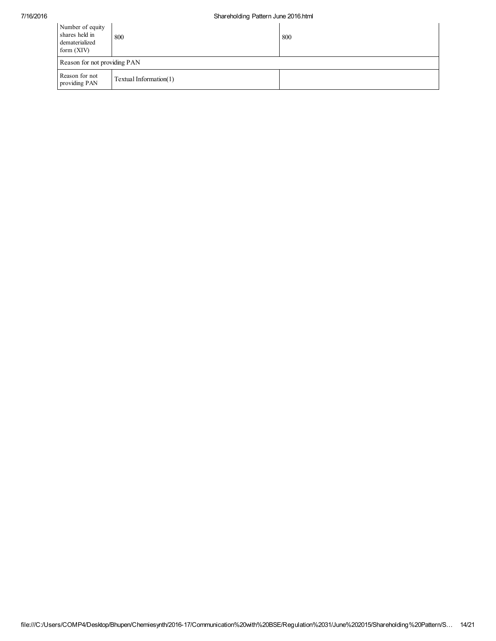| Number of equity<br>shares held in<br>dematerialized<br>form $(XIV)$ | 800                    | 800 |
|----------------------------------------------------------------------|------------------------|-----|
| Reason for not providing PAN                                         |                        |     |
| Reason for not<br>providing PAN                                      | Textual Information(1) |     |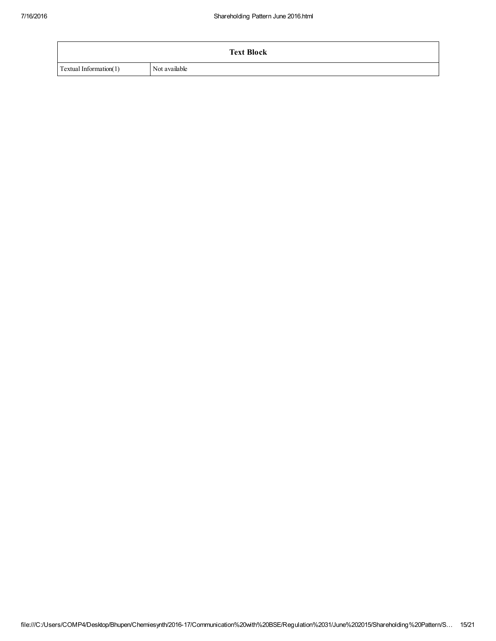|                        | <b>Text Block</b> |
|------------------------|-------------------|
| Textual Information(1) | Not available     |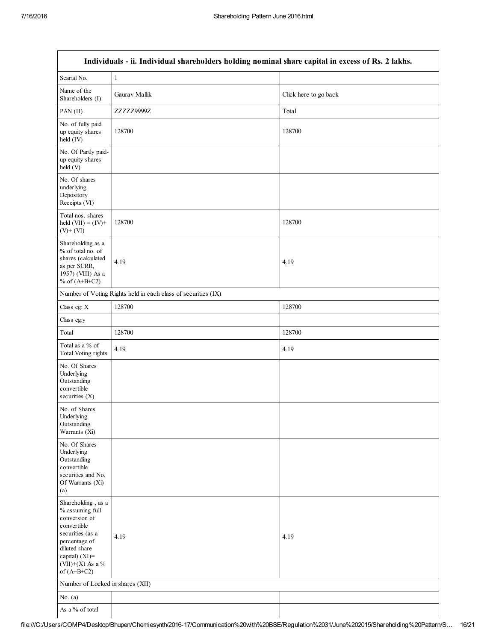| Individuals - ii. Individual shareholders holding nominal share capital in excess of Rs. 2 lakhs.                                                                                     |                                                               |                       |  |
|---------------------------------------------------------------------------------------------------------------------------------------------------------------------------------------|---------------------------------------------------------------|-----------------------|--|
| Searial No.                                                                                                                                                                           | $\,1$                                                         |                       |  |
| Name of the<br>Shareholders (I)                                                                                                                                                       | Gaurav Mallik                                                 | Click here to go back |  |
| PAN (II)                                                                                                                                                                              | ZZZZZ9999Z                                                    | Total                 |  |
| No. of fully paid<br>up equity shares<br>held (IV)                                                                                                                                    | 128700                                                        | 128700                |  |
| No. Of Partly paid-<br>up equity shares<br>held (V)                                                                                                                                   |                                                               |                       |  |
| No. Of shares<br>underlying<br>Depository<br>Receipts (VI)                                                                                                                            |                                                               |                       |  |
| Total nos. shares<br>held $(VII) = (IV) +$<br>$(V)$ + $(VI)$                                                                                                                          | 128700                                                        | 128700                |  |
| Shareholding as a<br>% of total no. of<br>shares (calculated<br>as per SCRR,<br>1957) (VIII) As a<br>% of $(A+B+C2)$                                                                  | 4.19                                                          | 4.19                  |  |
|                                                                                                                                                                                       | Number of Voting Rights held in each class of securities (IX) |                       |  |
| Class eg: X                                                                                                                                                                           | 128700                                                        | 128700                |  |
| Class eg:y                                                                                                                                                                            |                                                               |                       |  |
| Total                                                                                                                                                                                 | 128700                                                        | 128700                |  |
| Total as a % of<br>Total Voting rights                                                                                                                                                | 4.19                                                          | 4.19                  |  |
| No. Of Shares<br>Underlying<br>Outstanding<br>convertible<br>securities $(X)$                                                                                                         |                                                               |                       |  |
| No. of Shares<br>Underlying<br>Outstanding<br>Warrants (Xi)                                                                                                                           |                                                               |                       |  |
| No. Of Shares<br>Underlying<br>Outstanding<br>convertible<br>securities and No.<br>Of Warrants (Xi)<br>(a)                                                                            |                                                               |                       |  |
| Shareholding, as a<br>% assuming full<br>conversion of<br>convertible<br>securities (as a<br>percentage of<br>diluted share<br>capital) $(XI)$ =<br>(VII)+(X) As a %<br>of $(A+B+C2)$ | 4.19                                                          | 4.19                  |  |
| Number of Locked in shares (XII)                                                                                                                                                      |                                                               |                       |  |
| No. $(a)$                                                                                                                                                                             |                                                               |                       |  |
| As a % of total                                                                                                                                                                       |                                                               |                       |  |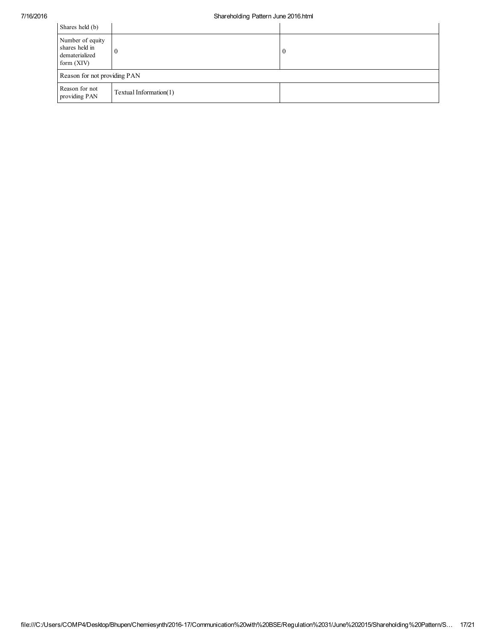| Shares held (b)                                                      |                        |                  |  |
|----------------------------------------------------------------------|------------------------|------------------|--|
| Number of equity<br>shares held in<br>dematerialized<br>form $(XIV)$ |                        | $\boldsymbol{0}$ |  |
| Reason for not providing PAN                                         |                        |                  |  |
| Reason for not<br>providing PAN                                      | Textual Information(1) |                  |  |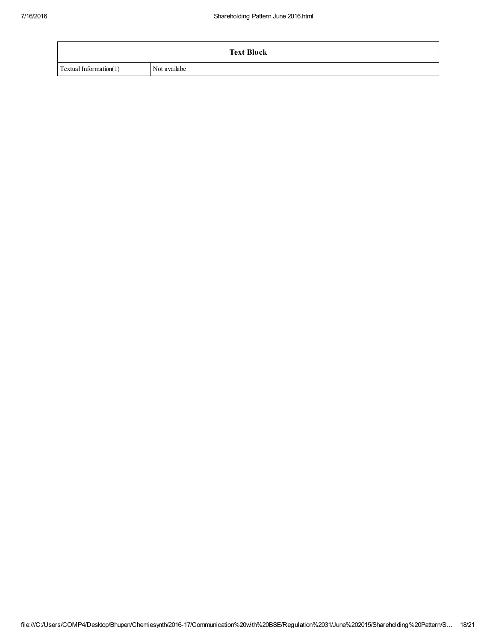|                        | <b>Text Block</b> |
|------------------------|-------------------|
| Textual Information(1) | Not availabe      |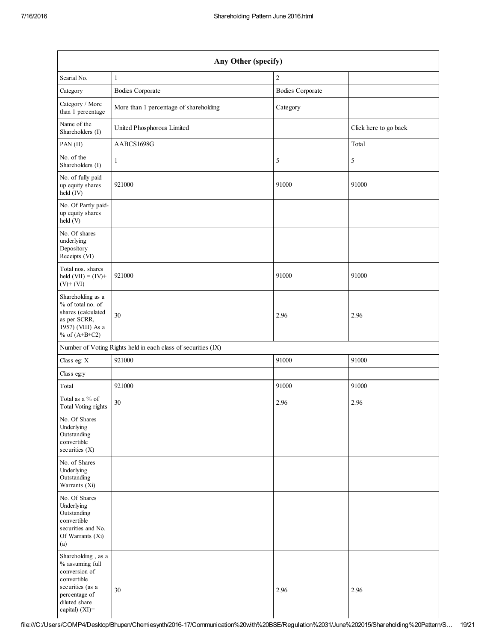| Any Other (specify)                                                                                                                           |                                                               |                         |                       |
|-----------------------------------------------------------------------------------------------------------------------------------------------|---------------------------------------------------------------|-------------------------|-----------------------|
| Searial No.                                                                                                                                   | $\mathbf{1}$                                                  | $\overline{c}$          |                       |
| Category                                                                                                                                      | <b>Bodies Corporate</b>                                       | <b>Bodies Corporate</b> |                       |
| Category / More<br>than 1 percentage                                                                                                          | More than 1 percentage of shareholding                        | Category                |                       |
| Name of the<br>Shareholders (I)                                                                                                               | United Phosphorous Limited                                    |                         | Click here to go back |
| PAN (II)                                                                                                                                      | AABCS1698G                                                    |                         | Total                 |
| No. of the<br>Shareholders (I)                                                                                                                | $\mathbf{1}$                                                  | 5                       | 5                     |
| No. of fully paid<br>up equity shares<br>held (IV)                                                                                            | 921000                                                        | 91000                   | 91000                 |
| No. Of Partly paid-<br>up equity shares<br>held (V)                                                                                           |                                                               |                         |                       |
| No. Of shares<br>underlying<br>Depository<br>Receipts (VI)                                                                                    |                                                               |                         |                       |
| Total nos. shares<br>held $(VII) = (IV) +$<br>$(V)+(VI)$                                                                                      | 921000                                                        | 91000                   | 91000                 |
| Shareholding as a<br>% of total no. of<br>shares (calculated<br>as per SCRR,<br>1957) (VIII) As a<br>% of $(A+B+C2)$                          | 30                                                            | 2.96                    | 2.96                  |
|                                                                                                                                               | Number of Voting Rights held in each class of securities (IX) |                         |                       |
| Class eg: X                                                                                                                                   | 921000                                                        | 91000                   | 91000                 |
| Class eg:y                                                                                                                                    |                                                               |                         |                       |
| Total                                                                                                                                         | 921000                                                        | 91000                   | 91000                 |
| Total as a $\%$ of<br><b>Total Voting rights</b>                                                                                              | 30                                                            | 2.96                    | 2.96                  |
| No. Of Shares<br>Underlying<br>Outstanding<br>convertible<br>securities $(X)$                                                                 |                                                               |                         |                       |
| No. of Shares<br>Underlying<br>Outstanding<br>Warrants (Xi)                                                                                   |                                                               |                         |                       |
| No. Of Shares<br>Underlying<br>Outstanding<br>convertible<br>securities and No.<br>Of Warrants (Xi)<br>(a)                                    |                                                               |                         |                       |
| Shareholding, as a<br>% assuming full<br>conversion of<br>convertible<br>securities (as a<br>percentage of<br>diluted share<br>capital) (XI)= | 30                                                            | 2.96                    | 2.96                  |